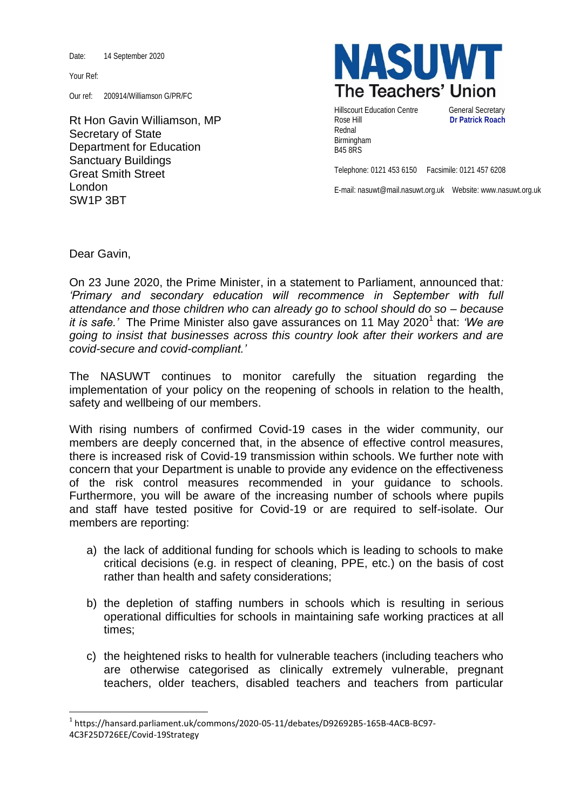Date: 14 September 2020

Your Ref:

Our ref: 200914/Williamson G/PR/FC

Rt Hon Gavin Williamson, MP Secretary of State Department for Education Sanctuary Buildings Great Smith Street London SW1P 3BT



Hillscourt Education Centre **General Secretary** Rose Hill **Dr Patrick Roach** Rednal Birmingham B45 8RS

Telephone: 0121 453 6150 Facsimile: 0121 457 6208

E-mail: nasuwt@mail.nasuwt.org.uk Website: www.nasuwt.org.uk

Dear Gavin,

**.** 

On 23 June 2020, the Prime Minister, in a statement to Parliament, announced that*: 'Primary and secondary education will recommence in September with full attendance and those children who can already go to school should do so – because*  it is safe.' The Prime Minister also gave assurances on 11 May 2020<sup>1</sup> that: 'We are *going to insist that businesses across this country look after their workers and are covid-secure and covid-compliant.'*

The NASUWT continues to monitor carefully the situation regarding the implementation of your policy on the reopening of schools in relation to the health, safety and wellbeing of our members.

With rising numbers of confirmed Covid-19 cases in the wider community, our members are deeply concerned that, in the absence of effective control measures, there is increased risk of Covid-19 transmission within schools. We further note with concern that your Department is unable to provide any evidence on the effectiveness of the risk control measures recommended in your guidance to schools. Furthermore, you will be aware of the increasing number of schools where pupils and staff have tested positive for Covid-19 or are required to self-isolate. Our members are reporting:

- a) the lack of additional funding for schools which is leading to schools to make critical decisions (e.g. in respect of cleaning, PPE, etc.) on the basis of cost rather than health and safety considerations;
- b) the depletion of staffing numbers in schools which is resulting in serious operational difficulties for schools in maintaining safe working practices at all times;
- c) the heightened risks to health for vulnerable teachers (including teachers who are otherwise categorised as clinically extremely vulnerable, pregnant teachers, older teachers, disabled teachers and teachers from particular

<sup>1</sup> https://hansard.parliament.uk/commons/2020-05-11/debates/D92692B5-165B-4ACB-BC97- 4C3F25D726EE/Covid-19Strategy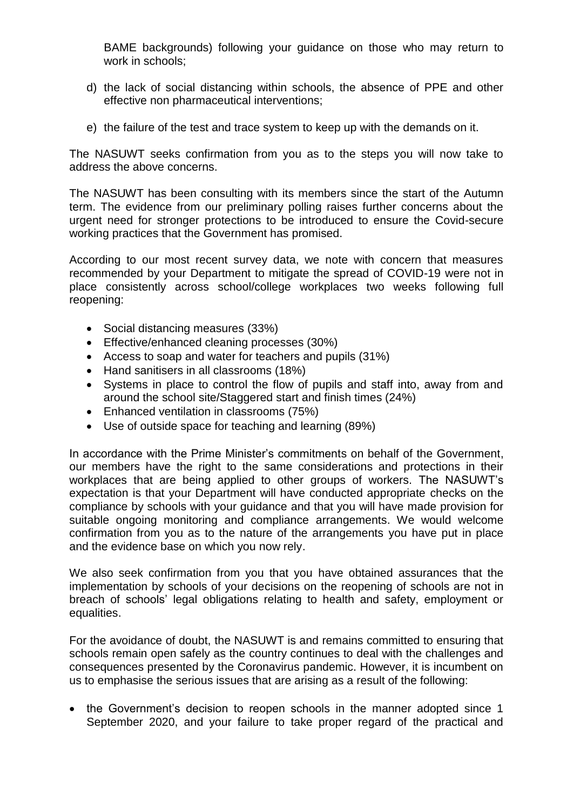BAME backgrounds) following your guidance on those who may return to work in schools;

- d) the lack of social distancing within schools, the absence of PPE and other effective non pharmaceutical interventions;
- e) the failure of the test and trace system to keep up with the demands on it.

The NASUWT seeks confirmation from you as to the steps you will now take to address the above concerns.

The NASUWT has been consulting with its members since the start of the Autumn term. The evidence from our preliminary polling raises further concerns about the urgent need for stronger protections to be introduced to ensure the Covid-secure working practices that the Government has promised.

According to our most recent survey data, we note with concern that measures recommended by your Department to mitigate the spread of COVID-19 were not in place consistently across school/college workplaces two weeks following full reopening:

- Social distancing measures (33%)
- Effective/enhanced cleaning processes (30%)
- Access to soap and water for teachers and pupils (31%)
- Hand sanitisers in all classrooms (18%)
- Systems in place to control the flow of pupils and staff into, away from and around the school site/Staggered start and finish times (24%)
- Enhanced ventilation in classrooms (75%)
- Use of outside space for teaching and learning (89%)

In accordance with the Prime Minister's commitments on behalf of the Government, our members have the right to the same considerations and protections in their workplaces that are being applied to other groups of workers. The NASUWT's expectation is that your Department will have conducted appropriate checks on the compliance by schools with your guidance and that you will have made provision for suitable ongoing monitoring and compliance arrangements. We would welcome confirmation from you as to the nature of the arrangements you have put in place and the evidence base on which you now rely.

We also seek confirmation from you that you have obtained assurances that the implementation by schools of your decisions on the reopening of schools are not in breach of schools' legal obligations relating to health and safety, employment or equalities.

For the avoidance of doubt, the NASUWT is and remains committed to ensuring that schools remain open safely as the country continues to deal with the challenges and consequences presented by the Coronavirus pandemic. However, it is incumbent on us to emphasise the serious issues that are arising as a result of the following:

• the Government's decision to reopen schools in the manner adopted since 1 September 2020, and your failure to take proper regard of the practical and